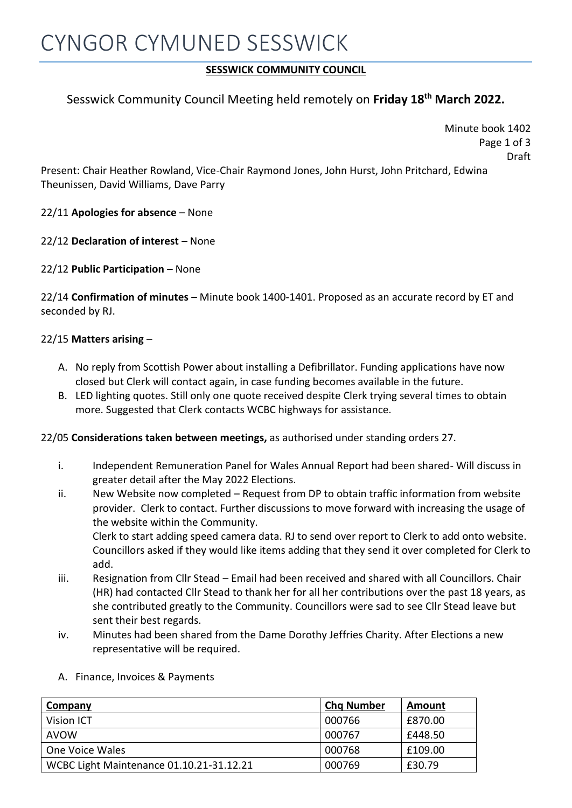# CYNGOR CYMUNED SESSWICK

## **SESSWICK COMMUNITY COUNCIL**

# Sesswick Community Council Meeting held remotely on **Friday 18th March 2022.**

Minute book 1402 Page 1 of 3 Draft

Present: Chair Heather Rowland, Vice-Chair Raymond Jones, John Hurst, John Pritchard, Edwina Theunissen, David Williams, Dave Parry

22/11 **Apologies for absence** – None

22/12 **Declaration of interest –** None

22/12 **Public Participation –** None

22/14 **Confirmation of minutes –** Minute book 1400-1401. Proposed as an accurate record by ET and seconded by RJ.

#### 22/15 **Matters arising** –

- A. No reply from Scottish Power about installing a Defibrillator. Funding applications have now closed but Clerk will contact again, in case funding becomes available in the future.
- B. LED lighting quotes. Still only one quote received despite Clerk trying several times to obtain more. Suggested that Clerk contacts WCBC highways for assistance.

#### 22/05 **Considerations taken between meetings,** as authorised under standing orders 27.

- i. Independent Remuneration Panel for Wales Annual Report had been shared- Will discuss in greater detail after the May 2022 Elections.
- ii. New Website now completed Request from DP to obtain traffic information from website provider. Clerk to contact. Further discussions to move forward with increasing the usage of the website within the Community.

Clerk to start adding speed camera data. RJ to send over report to Clerk to add onto website. Councillors asked if they would like items adding that they send it over completed for Clerk to add.

- iii. Resignation from Cllr Stead Email had been received and shared with all Councillors. Chair (HR) had contacted Cllr Stead to thank her for all her contributions over the past 18 years, as she contributed greatly to the Community. Councillors were sad to see Cllr Stead leave but sent their best regards.
- iv. Minutes had been shared from the Dame Dorothy Jeffries Charity. After Elections a new representative will be required.

| <b>Company</b>                           | <b>Chg Number</b> | Amount  |
|------------------------------------------|-------------------|---------|
| Vision ICT                               | 000766            | £870.00 |
| AVOW                                     | 000767            | £448.50 |
| One Voice Wales                          | 000768            | £109.00 |
| WCBC Light Maintenance 01.10.21-31.12.21 | 000769            | £30.79  |

### A. Finance, Invoices & Payments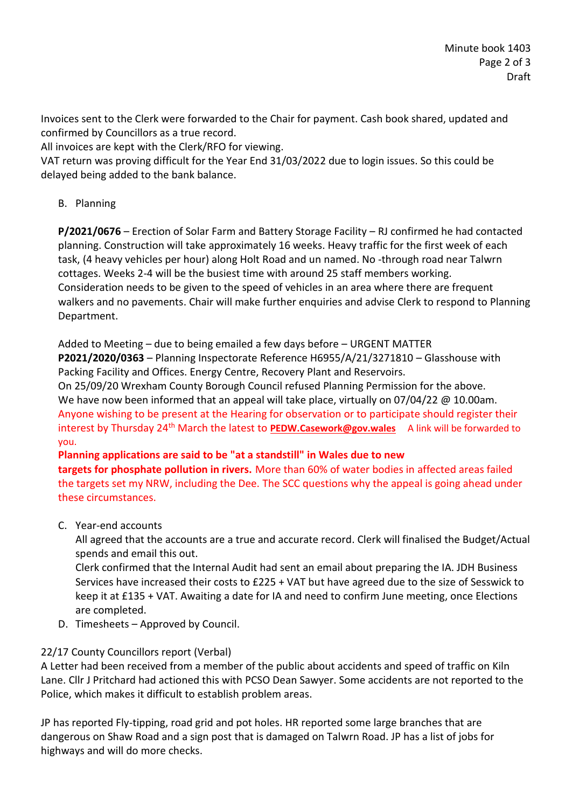Invoices sent to the Clerk were forwarded to the Chair for payment. Cash book shared, updated and confirmed by Councillors as a true record.

All invoices are kept with the Clerk/RFO for viewing.

VAT return was proving difficult for the Year End 31/03/2022 due to login issues. So this could be delayed being added to the bank balance.

B. Planning

**P/2021/0676** – Erection of Solar Farm and Battery Storage Facility – RJ confirmed he had contacted planning. Construction will take approximately 16 weeks. Heavy traffic for the first week of each task, (4 heavy vehicles per hour) along Holt Road and un named. No -through road near Talwrn cottages. Weeks 2-4 will be the busiest time with around 25 staff members working. Consideration needs to be given to the speed of vehicles in an area where there are frequent walkers and no pavements. Chair will make further enquiries and advise Clerk to respond to Planning Department.

Added to Meeting – due to being emailed a few days before – URGENT MATTER **P2021/2020/0363** – Planning Inspectorate Reference H6955/A/21/3271810 – Glasshouse with Packing Facility and Offices. Energy Centre, Recovery Plant and Reservoirs.

On 25/09/20 Wrexham County Borough Council refused Planning Permission for the above. We have now been informed that an appeal will take place, virtually on 07/04/22 @ 10.00am. Anyone wishing to be present at the Hearing for observation or to participate should register their interest by Thursday 24<sup>th</sup> March the latest to **PEDW.Casework@gov.wales** A link will be forwarded to you.

**Planning applications are said to be "at a standstill" in Wales due to new targets for phosphate pollution in rivers.** More than 60% of water bodies in affected areas failed the targets set my NRW, including the Dee. The SCC questions why the appeal is going ahead under these circumstances.

C. Year-end accounts

All agreed that the accounts are a true and accurate record. Clerk will finalised the Budget/Actual spends and email this out.

Clerk confirmed that the Internal Audit had sent an email about preparing the IA. JDH Business Services have increased their costs to £225 + VAT but have agreed due to the size of Sesswick to keep it at £135 + VAT. Awaiting a date for IA and need to confirm June meeting, once Elections are completed.

D. Timesheets – Approved by Council.

# 22/17 County Councillors report (Verbal)

A Letter had been received from a member of the public about accidents and speed of traffic on Kiln Lane. Cllr J Pritchard had actioned this with PCSO Dean Sawyer. Some accidents are not reported to the Police, which makes it difficult to establish problem areas.

JP has reported Fly-tipping, road grid and pot holes. HR reported some large branches that are dangerous on Shaw Road and a sign post that is damaged on Talwrn Road. JP has a list of jobs for highways and will do more checks.